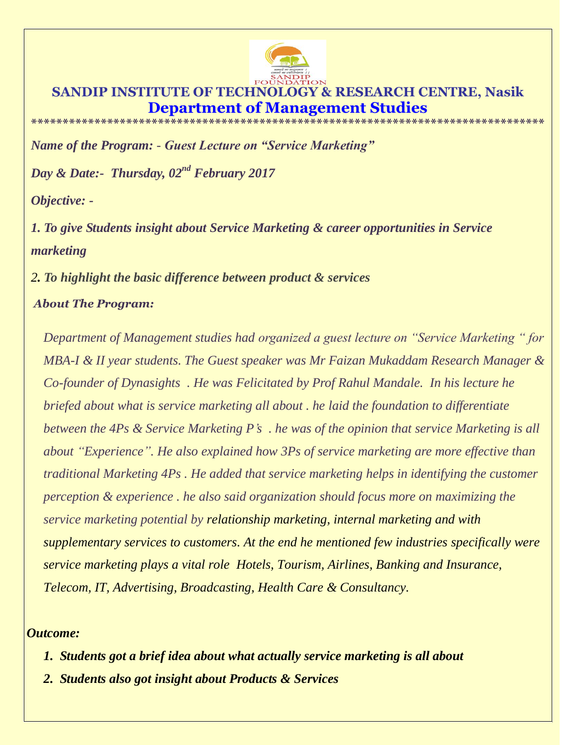

## **SANDIP INSTITUTE OF TECHNOLOGY & RESEARCH CENTRE, Nasik Department of Management**

**\*\*\*\*\*\*\*\*\*\*\*\*\*\*\*\*\*\*\*\*\*\*\*\*\*\*\*\*\*\*\*\*\*\*\*\*\*\*\*\*\*\*\*\*\*\*\*\*\*\*\*\*\*\*\*\*\*\*\*\*\*\*\*\*\*\*\*\*\*\*\*\*\*\*\*\*\*\*\*\*\***

*Name of the Program: - Guest Lecture on "Service Marketing"*

*Day & Date:- Thursday, 02nd February 2017*

*Objective: -*

*1. To give Students insight about Service Marketing & career opportunities in Service marketing* 

*2. To highlight the basic difference between product & services* 

## *About The Program:*

*Department of Management studies had organized a guest lecture on "Service Marketing " for MBA-I & II year students. The Guest speaker was Mr Faizan Mukaddam Research Manager & Co-founder of Dynasights . He was Felicitated by Prof Rahul Mandale. In his lecture he briefed about what is service marketing all about . he laid the foundation to differentiate between the 4Ps & Service Marketing P's . he was of the opinion that service Marketing is all about "Experience". He also explained how 3Ps of service marketing are more effective than traditional Marketing 4Ps . He added that service marketing helps in identifying the customer perception & experience . he also said organization should focus more on maximizing the service marketing potential by relationship marketing, internal marketing and with supplementary services to customers. At the end he mentioned few industries specifically were service marketing plays a vital role Hotels, Tourism, Airlines, Banking and Insurance, Telecom, IT, Advertising, Broadcasting, Health Care & Consultancy.*

## *Outcome:*

- *1. Students got a brief idea about what actually service marketing is all about*
- *2. Students also got insight about Products & Services*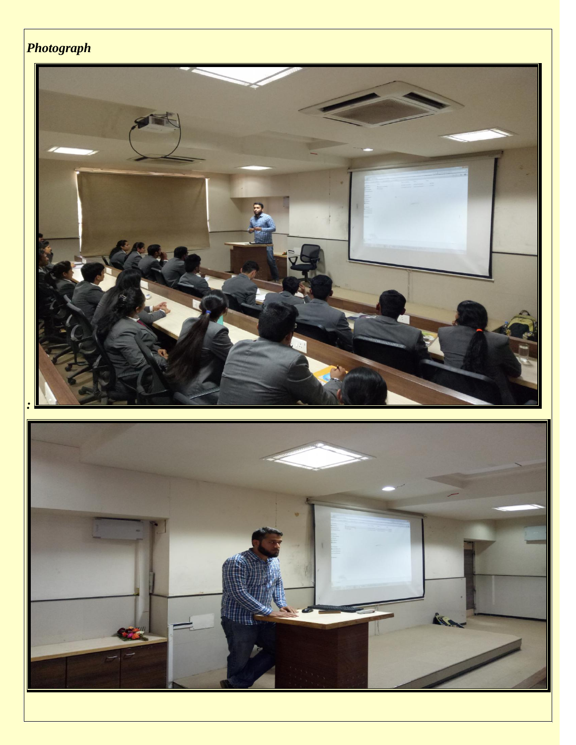## *Photograph*